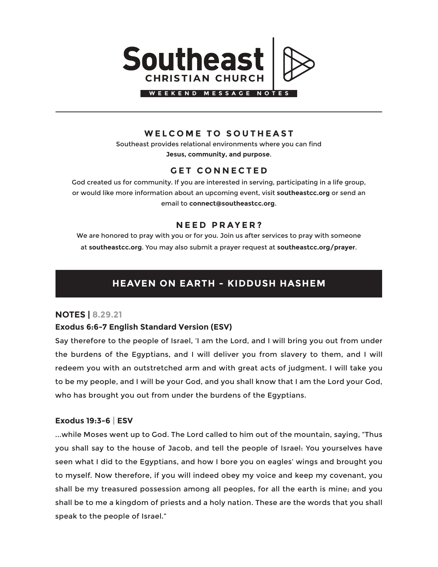

## **WELCOME TO SOUTHEAST**

Southeast provides relational environments where you can find **Jesus, community, and purpose**.

## **GET CONNECTED**

God created us for community. If you are interested in serving, participating in a life group, or would like more information about an upcoming event, visit **southeastcc.org** or send an email to **connect@southeastcc.org**.

## **NEED PRAYER?**

We are honored to pray with you or for you. Join us after services to pray with someone at **southeastcc.org**. You may also submit a prayer request at **southeastcc.org/prayer**.

# **HEAVEN ON EARTH - KIDDUSH HASHEM**

## **NOTES | 8.29.21**

## **Exodus 6:6-7 English Standard Version (ESV)**

Say therefore to the people of Israel, 'I am the Lord, and I will bring you out from under the burdens of the Egyptians, and I will deliver you from slavery to them, and I will redeem you with an outstretched arm and with great acts of judgment. I will take you to be my people, and I will be your God, and you shall know that I am the Lord your God, who has brought you out from under the burdens of the Egyptians.

### **Exodus 19:3-6 | ESV**

...while Moses went up to God. The Lord called to him out of the mountain, saying, "Thus you shall say to the house of Jacob, and tell the people of Israel: You yourselves have seen what I did to the Egyptians, and how I bore you on eagles' wings and brought you to myself. Now therefore, if you will indeed obey my voice and keep my covenant, you shall be my treasured possession among all peoples, for all the earth is mine; and you shall be to me a kingdom of priests and a holy nation. These are the words that you shall speak to the people of Israel."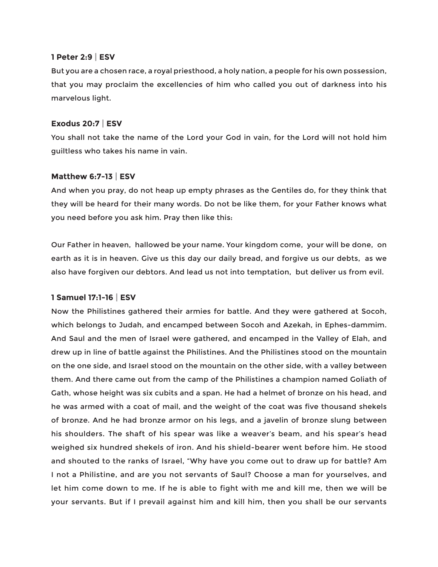#### **1 Peter 2:9 | ESV**

But you are a chosen race, a royal priesthood, a holy nation, a people for his own possession, that you may proclaim the excellencies of him who called you out of darkness into his marvelous light.

#### **Exodus 20:7 | ESV**

You shall not take the name of the Lord your God in vain, for the Lord will not hold him guiltless who takes his name in vain.

#### **Matthew 6:7-13 | ESV**

And when you pray, do not heap up empty phrases as the Gentiles do, for they think that they will be heard for their many words. Do not be like them, for your Father knows what you need before you ask him. Pray then like this:

Our Father in heaven, hallowed be your name. Your kingdom come, your will be done, on earth as it is in heaven. Give us this day our daily bread, and forgive us our debts, as we also have forgiven our debtors. And lead us not into temptation, but deliver us from evil.

#### **1 Samuel 17:1-16 | ESV**

Now the Philistines gathered their armies for battle. And they were gathered at Socoh, which belongs to Judah, and encamped between Socoh and Azekah, in Ephes-dammim. And Saul and the men of Israel were gathered, and encamped in the Valley of Elah, and drew up in line of battle against the Philistines. And the Philistines stood on the mountain on the one side, and Israel stood on the mountain on the other side, with a valley between them. And there came out from the camp of the Philistines a champion named Goliath of Gath, whose height was six cubits and a span. He had a helmet of bronze on his head, and he was armed with a coat of mail, and the weight of the coat was five thousand shekels of bronze. And he had bronze armor on his legs, and a javelin of bronze slung between his shoulders. The shaft of his spear was like a weaver's beam, and his spear's head weighed six hundred shekels of iron. And his shield-bearer went before him. He stood and shouted to the ranks of Israel, "Why have you come out to draw up for battle? Am I not a Philistine, and are you not servants of Saul? Choose a man for yourselves, and let him come down to me. If he is able to fight with me and kill me, then we will be your servants. But if I prevail against him and kill him, then you shall be our servants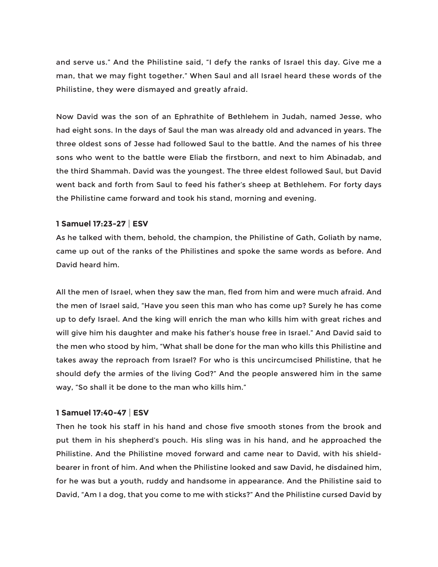and serve us." And the Philistine said, "I defy the ranks of Israel this day. Give me a man, that we may fight together." When Saul and all Israel heard these words of the Philistine, they were dismayed and greatly afraid.

Now David was the son of an Ephrathite of Bethlehem in Judah, named Jesse, who had eight sons. In the days of Saul the man was already old and advanced in years. The three oldest sons of Jesse had followed Saul to the battle. And the names of his three sons who went to the battle were Eliab the firstborn, and next to him Abinadab, and the third Shammah. David was the youngest. The three eldest followed Saul, but David went back and forth from Saul to feed his father's sheep at Bethlehem. For forty days the Philistine came forward and took his stand, morning and evening.

#### **1 Samuel 17:23-27 | ESV**

As he talked with them, behold, the champion, the Philistine of Gath, Goliath by name, came up out of the ranks of the Philistines and spoke the same words as before. And David heard him.

All the men of Israel, when they saw the man, fled from him and were much afraid. And the men of Israel said, "Have you seen this man who has come up? Surely he has come up to defy Israel. And the king will enrich the man who kills him with great riches and will give him his daughter and make his father's house free in Israel." And David said to the men who stood by him, "What shall be done for the man who kills this Philistine and takes away the reproach from Israel? For who is this uncircumcised Philistine, that he should defy the armies of the living God?" And the people answered him in the same way, "So shall it be done to the man who kills him."

#### **1 Samuel 17:40-47 | ESV**

Then he took his staff in his hand and chose five smooth stones from the brook and put them in his shepherd's pouch. His sling was in his hand, and he approached the Philistine. And the Philistine moved forward and came near to David, with his shieldbearer in front of him. And when the Philistine looked and saw David, he disdained him, for he was but a youth, ruddy and handsome in appearance. And the Philistine said to David, "Am I a dog, that you come to me with sticks?" And the Philistine cursed David by